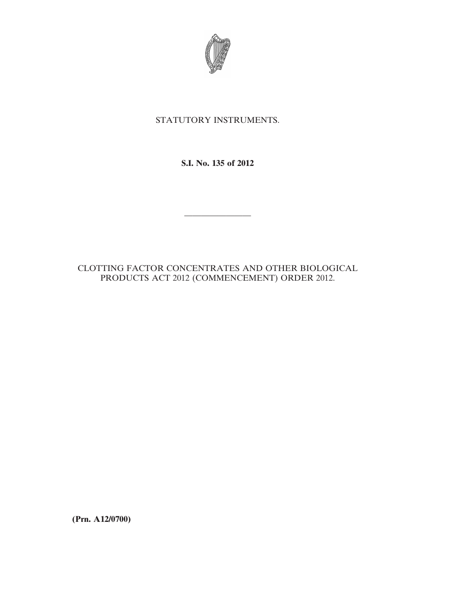

## STATUTORY INSTRUMENTS.

**S.I. No. 135 of 2012**

————————

## CLOTTING FACTOR CONCENTRATES AND OTHER BIOLOGICAL PRODUCTS ACT 2012 (COMMENCEMENT) ORDER 2012.

**(Prn. A12/0700)**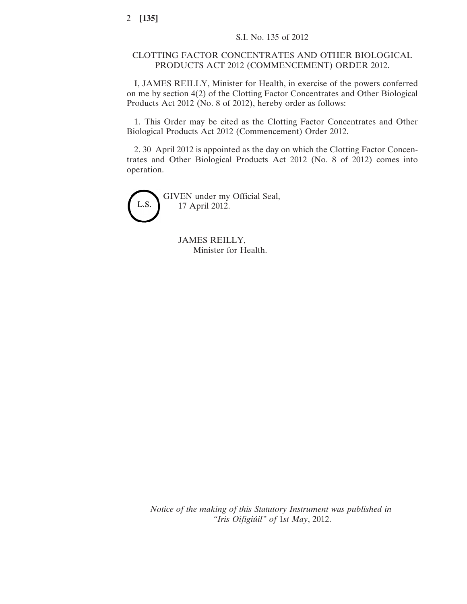## CLOTTING FACTOR CONCENTRATES AND OTHER BIOLOGICAL PRODUCTS ACT 2012 (COMMENCEMENT) ORDER 2012.

I, JAMES REILLY, Minister for Health, in exercise of the powers conferred on me by section 4(2) of the Clotting Factor Concentrates and Other Biological Products Act 2012 (No. 8 of 2012), hereby order as follows:

1. This Order may be cited as the Clotting Factor Concentrates and Other Biological Products Act 2012 (Commencement) Order 2012.

2. 30 April 2012 is appointed as the day on which the Clotting Factor Concentrates and Other Biological Products Act 2012 (No. 8 of 2012) comes into operation.

L.S.

GIVEN under my Official Seal, 17 April 2012.

> JAMES REILLY, Minister for Health.

*Notice of the making of this Statutory Instrument was published in "Iris Oifigiúil" of* 1*st May*, 2012.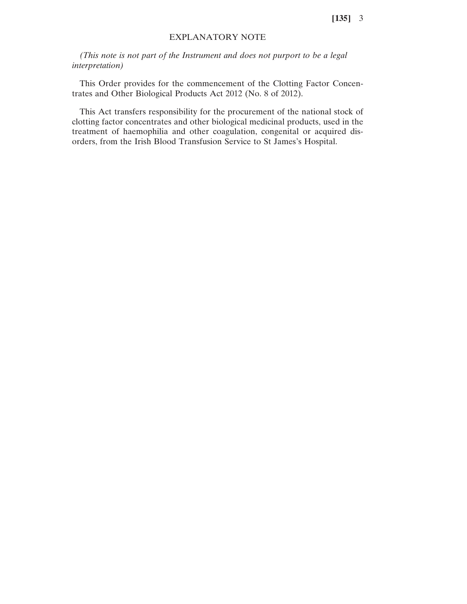## EXPLANATORY NOTE

*(This note is not part of the Instrument and does not purport to be a legal interpretation)*

This Order provides for the commencement of the Clotting Factor Concentrates and Other Biological Products Act 2012 (No. 8 of 2012).

This Act transfers responsibility for the procurement of the national stock of clotting factor concentrates and other biological medicinal products, used in the treatment of haemophilia and other coagulation, congenital or acquired disorders, from the Irish Blood Transfusion Service to St James's Hospital.